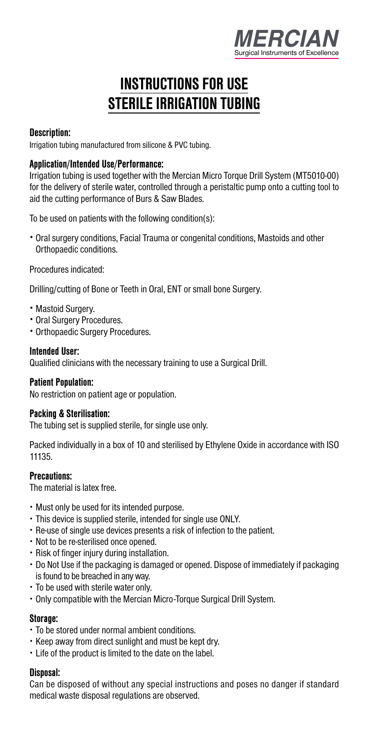

# **INSTRUCTIONS FOR USE STERILE IRRIGATION TUBING**

# **Description:**

Irrigation tubing manufactured from silicone & PVC tubing.

# **Application/Intended Use/Performance:**

Irrigation tubing is used together with the Mercian Micro Torque Drill System (MT5010-00) for the delivery of sterile water, controlled through a peristaltic pump onto a cutting tool to aid the cutting performance of Burs & Saw Blades.

To be used on patients with the following condition(s):

· Oral surgery conditions, Facial Trauma or congenital conditions, Mastoids and other Orthopaedic conditions.

Procedures indicated:

Drilling/cutting of Bone or Teeth in Oral, ENT or small bone Surgery.

- · Mastoid Surgery.
- · Oral Surgery Procedures.
- · Orthopaedic Surgery Procedures.

#### **Intended User:**

Qualified clinicians with the necessary training to use a Surgical Drill.

### **Patient Population:**

No restriction on patient age or population.

### **Packing & Sterilisation:**

The tubing set is supplied sterile, for single use only.

Packed individually in a box of 10 and sterilised by Ethylene Oxide in accordance with ISO 11135.

# **Precautions:**

The material is latex free.

- · Must only be used for its intended purpose.
- · This device is supplied sterile, intended for single use ONLY.
- · Re-use of single use devices presents a risk of infection to the patient.
- · Not to be re-sterilised once opened.
- · Risk of finger injury during installation.
- · Do Not Use if the packaging is damaged or opened. Dispose of immediately if packaging is found to be breached in any way.
- · To be used with sterile water only.
- · Only compatible with the Mercian Micro-Torque Surgical Drill System.

#### **Storage:**

- · To be stored under normal ambient conditions.
- · Keep away from direct sunlight and must be kept dry.
- · Life of the product is limited to the date on the label.

#### **Disposal:**

Can be disposed of without any special instructions and poses no danger if standard medical waste disposal regulations are observed.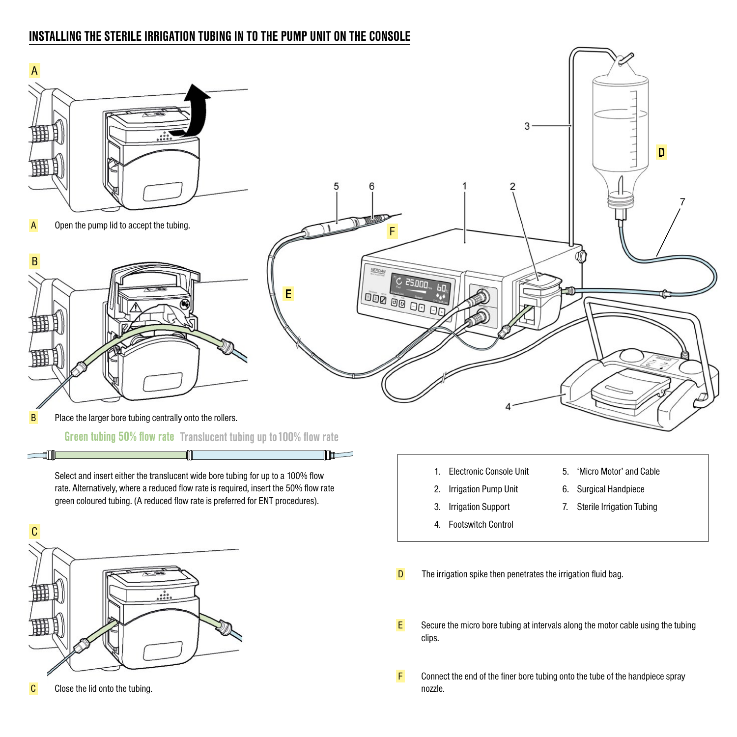# **INSTALLING THE STERILE IRRIGATION TUBING IN TO THE PUMP UNIT ON THE CONSOLE**